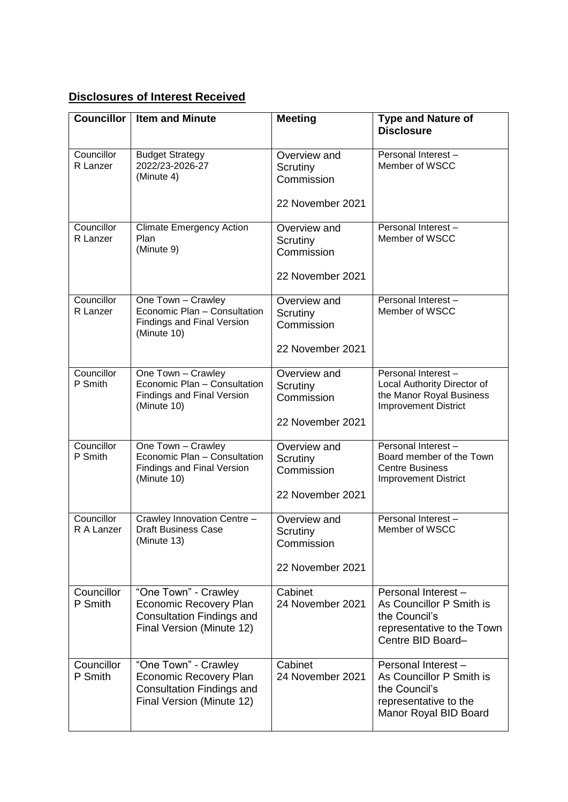## **Disclosures of Interest Received**

| <b>Councillor</b> | <b>Item and Minute</b>                                                    | <b>Meeting</b>         | <b>Type and Nature of</b>                               |
|-------------------|---------------------------------------------------------------------------|------------------------|---------------------------------------------------------|
|                   |                                                                           |                        | <b>Disclosure</b>                                       |
| Councillor        | <b>Budget Strategy</b>                                                    | Overview and           | Personal Interest-                                      |
| R Lanzer          | 2022/23-2026-27<br>(Minute 4)                                             | Scrutiny<br>Commission | Member of WSCC                                          |
|                   |                                                                           | 22 November 2021       |                                                         |
| Councillor        | <b>Climate Emergency Action</b>                                           | Overview and           | Personal Interest -                                     |
| R Lanzer          | Plan<br>(Minute 9)                                                        | Scrutiny<br>Commission | Member of WSCC                                          |
|                   |                                                                           | 22 November 2021       |                                                         |
| Councillor        | One Town - Crawley                                                        | Overview and           | Personal Interest-                                      |
| R Lanzer          | Economic Plan - Consultation<br>Findings and Final Version<br>(Minute 10) | Scrutiny<br>Commission | Member of WSCC                                          |
|                   |                                                                           | 22 November 2021       |                                                         |
| Councillor        | One Town - Crawley                                                        | Overview and           | Personal Interest-                                      |
| P Smith           | Economic Plan - Consultation<br><b>Findings and Final Version</b>         | Scrutiny               | Local Authority Director of<br>the Manor Royal Business |
|                   | (Minute 10)                                                               | Commission             | <b>Improvement District</b>                             |
|                   |                                                                           | 22 November 2021       |                                                         |
| Councillor        | One Town - Crawley                                                        | Overview and           | Personal Interest-                                      |
| P Smith           | Economic Plan - Consultation<br><b>Findings and Final Version</b>         | Scrutiny<br>Commission | Board member of the Town<br><b>Centre Business</b>      |
|                   | (Minute 10)                                                               |                        | <b>Improvement District</b>                             |
|                   |                                                                           | 22 November 2021       |                                                         |
| Councillor        | Crawley Innovation Centre -                                               | Overview and           | Personal Interest-                                      |
| R A Lanzer        | <b>Draft Business Case</b><br>(Minute 13)                                 | Scrutiny<br>Commission | Member of WSCC                                          |
|                   |                                                                           | 22 November 2021       |                                                         |
| Councillor        | "One Town" - Crawley                                                      | Cabinet                | Personal Interest -                                     |
| P Smith           | Economic Recovery Plan                                                    | 24 November 2021       | As Councillor P Smith is                                |
|                   | <b>Consultation Findings and</b><br>Final Version (Minute 12)             |                        | the Council's<br>representative to the Town             |
|                   |                                                                           |                        | Centre BID Board-                                       |
| Councillor        | "One Town" - Crawley                                                      | Cabinet                | Personal Interest -                                     |
| P Smith           | <b>Economic Recovery Plan</b><br><b>Consultation Findings and</b>         | 24 November 2021       | As Councillor P Smith is<br>the Council's               |
|                   | Final Version (Minute 12)                                                 |                        | representative to the                                   |
|                   |                                                                           |                        | Manor Royal BID Board                                   |
|                   |                                                                           |                        |                                                         |